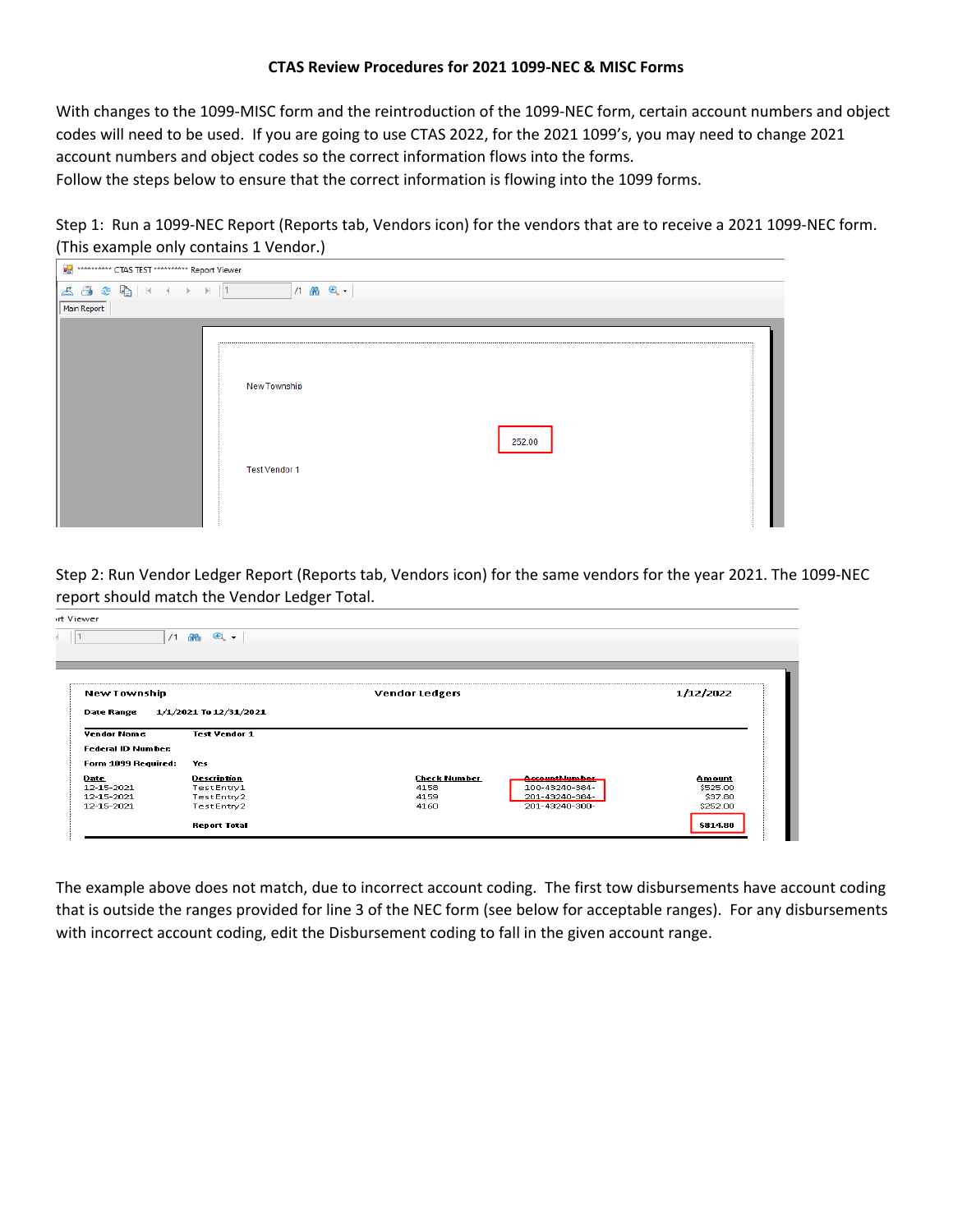#### **CTAS Review Procedures for 2021 1099‐NEC & MISC Forms**

With changes to the 1099‐MISC form and the reintroduction of the 1099‐NEC form, certain account numbers and object codes will need to be used. If you are going to use CTAS 2022, for the 2021 1099's, you may need to change 2021 account numbers and object codes so the correct information flows into the forms. Follow the steps below to ensure that the correct information is flowing into the 1099 forms.

Step 1: Run a 1099-NEC Report (Reports tab, Vendors icon) for the vendors that are to receive a 2021 1099-NEC form. (This example only contains 1 Vendor.)

| <b>DH</b> ********** CTAS TEST ********** Report Viewer |                                                |  |
|---------------------------------------------------------|------------------------------------------------|--|
|                                                         | $1.46$ $Q -$                                   |  |
| Main Report                                             |                                                |  |
|                                                         | New Township<br>252.00<br><b>Test Vendor 1</b> |  |

Step 2: Run Vendor Ledger Report (Reports tab, Vendors icon) for the same vendors for the year 2021. The 1099‐NEC report should match the Vendor Ledger Total.

|                                                                      | $\bullet$ .<br>/1 函                                              |                                                                                                                           |                                           |
|----------------------------------------------------------------------|------------------------------------------------------------------|---------------------------------------------------------------------------------------------------------------------------|-------------------------------------------|
| New Township                                                         |                                                                  | <b>Vendor Ledgers</b>                                                                                                     | 1/12/2022                                 |
| <b>Date Range</b><br><b>Vendor Name</b><br><b>Federal ID Number:</b> | 1/1/2021 To 12/31/2021<br><b>Test Vendor 1</b>                   |                                                                                                                           |                                           |
| Form 1099 Required:                                                  | Yes                                                              |                                                                                                                           |                                           |
| <b>Date</b><br>12-15-2021<br>12-15-2021<br>12-15-2021                | <b>Description</b><br>TestEntry1<br>Test Entry 2<br>Test Entry 2 | <b>Check Number</b><br><b>AccountMumber</b><br>100-43240-384-<br>4158<br>201-43240-384-<br>4159<br>201-43240-300-<br>4160 | Amount<br>\$525.00<br>\$37.80<br>\$252.00 |
|                                                                      | <b>Report Total</b>                                              |                                                                                                                           | \$814.80                                  |

The example above does not match, due to incorrect account coding. The first tow disbursements have account coding that is outside the ranges provided for line 3 of the NEC form (see below for acceptable ranges). For any disbursements with incorrect account coding, edit the Disbursement coding to fall in the given account range.